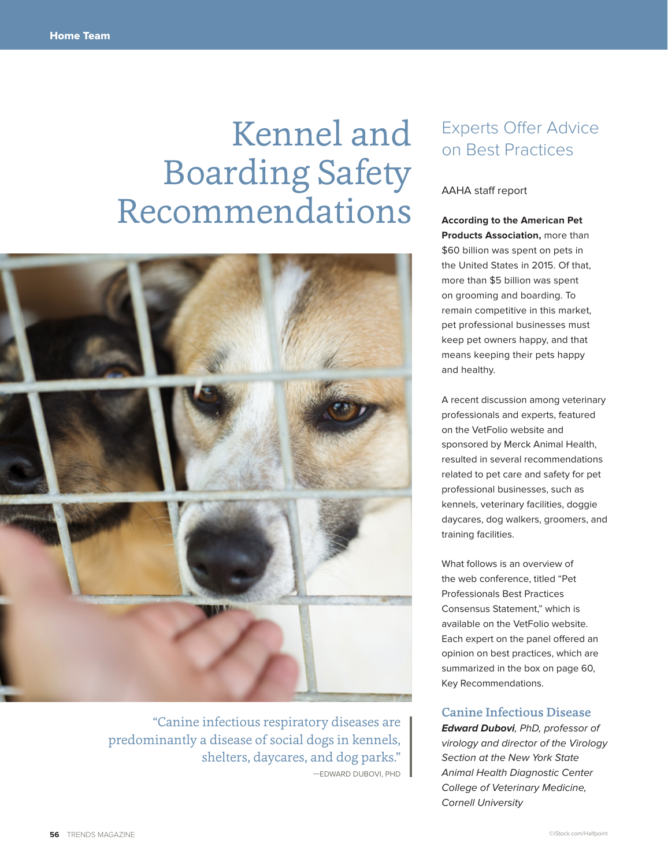# Kennel and Boarding Safety Recommendations



"Canine infectious respiratory diseases are predominantly a disease of social dogs in kennels, shelters, daycares, and dog parks." —EDWARD DUBOVI, PHD

# Experts Offer Advice on Best Practices

### AAHA staff report

**According to the American Pet Products Association,** more than \$60 billion was spent on pets in the United States in 2015. Of that, more than \$5 billion was spent on grooming and boarding. To remain competitive in this market, pet professional businesses must keep pet owners happy, and that means keeping their pets happy and healthy.

A recent discussion among veterinary professionals and experts, featured on the VetFolio website and sponsored by Merck Animal Health, resulted in several recommendations related to pet care and safety for pet professional businesses, such as kennels, veterinary facilities, doggie daycares, dog walkers, groomers, and training facilities.

What follows is an overview of the web conference, titled "Pet Professionals Best Practices Consensus Statement," which is available on the VetFolio website. Each expert on the panel offered an opinion on best practices, which are summarized in the box on page 60, Key Recommendations.

### Canine Infectious Disease

**Edward Dubovi**, PhD, professor of virology and director of the Virology Section at the New York State Animal Health Diagnostic Center College of Veterinary Medicine, Cornell University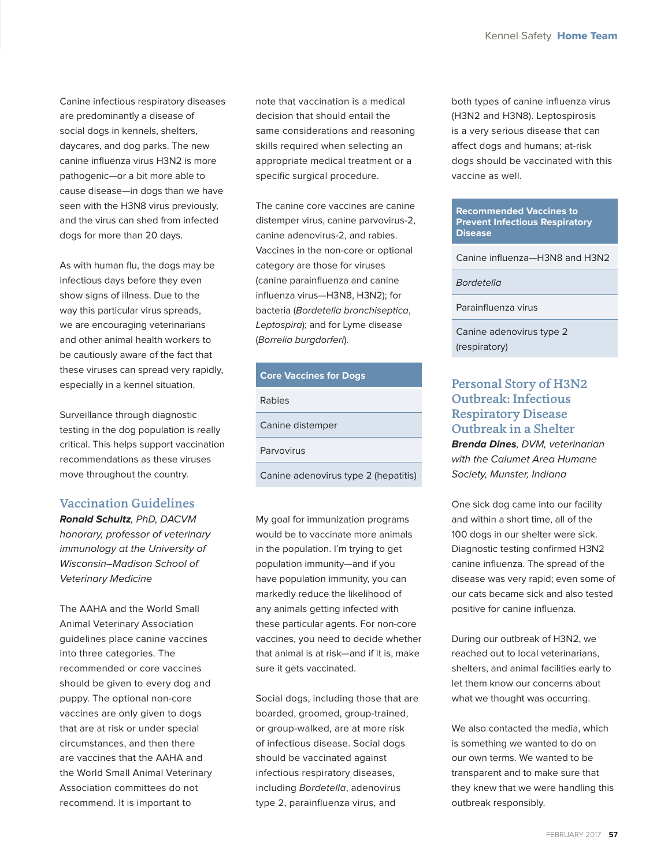Canine infectious respiratory diseases are predominantly a disease of social dogs in kennels, shelters, daycares, and dog parks. The new canine influenza virus H3N2 is more pathogenic—or a bit more able to cause disease—in dogs than we have seen with the H3N8 virus previously, and the virus can shed from infected dogs for more than 20 days.

As with human flu, the dogs may be infectious days before they even show signs of illness. Due to the way this particular virus spreads, we are encouraging veterinarians and other animal health workers to be cautiously aware of the fact that these viruses can spread very rapidly, especially in a kennel situation.

Surveillance through diagnostic testing in the dog population is really critical. This helps support vaccination recommendations as these viruses move throughout the country.

## Vaccination Guidelines

**Ronald Schultz**, PhD, DACVM honorary, professor of veterinary immunology at the University of Wisconsin–Madison School of Veterinary Medicine

The AAHA and the World Small Animal Veterinary Association guidelines place canine vaccines into three categories. The recommended or core vaccines should be given to every dog and puppy. The optional non-core vaccines are only given to dogs that are at risk or under special circumstances, and then there are vaccines that the AAHA and the World Small Animal Veterinary Association committees do not recommend. It is important to

note that vaccination is a medical decision that should entail the same considerations and reasoning skills required when selecting an appropriate medical treatment or a specific surgical procedure.

The canine core vaccines are canine distemper virus, canine parvovirus-2, canine adenovirus-2, and rabies. Vaccines in the non-core or optional category are those for viruses (canine parainfluenza and canine influenza virus—H3N8, H3N2); for bacteria (Bordetella bronchiseptica, Leptospira); and for Lyme disease (Borrelia burgdorferi).

#### **Core Vaccines for Dogs**

Rabies

Canine distemper

Parvovirus

Canine adenovirus type 2 (hepatitis)

My goal for immunization programs would be to vaccinate more animals in the population. I'm trying to get population immunity—and if you have population immunity, you can markedly reduce the likelihood of any animals getting infected with these particular agents. For non-core vaccines, you need to decide whether that animal is at risk—and if it is, make sure it gets vaccinated.

Social dogs, including those that are boarded, groomed, group-trained, or group-walked, are at more risk of infectious disease. Social dogs should be vaccinated against infectious respiratory diseases, including Bordetella, adenovirus type 2, parainfluenza virus, and

both types of canine influenza virus (H3N2 and H3N8). Leptospirosis is a very serious disease that can affect dogs and humans; at-risk dogs should be vaccinated with this vaccine as well.

#### **Recommended Vaccines to Prevent Infectious Respiratory Disease**

Canine influenza—H3N8 and H3N2

**Bordetella** 

Parainfluenza virus

Canine adenovirus type 2 (respiratory)

# Personal Story of H3N2 Outbreak: Infectious Respiratory Disease Outbreak in a Shelter

**Brenda Dines**, DVM, veterinarian with the Calumet Area Humane Society, Munster, Indiana

One sick dog came into our facility and within a short time, all of the 100 dogs in our shelter were sick. Diagnostic testing confirmed H3N2 canine influenza. The spread of the disease was very rapid; even some of our cats became sick and also tested positive for canine influenza.

During our outbreak of H3N2, we reached out to local veterinarians, shelters, and animal facilities early to let them know our concerns about what we thought was occurring.

We also contacted the media, which is something we wanted to do on our own terms. We wanted to be transparent and to make sure that they knew that we were handling this outbreak responsibly.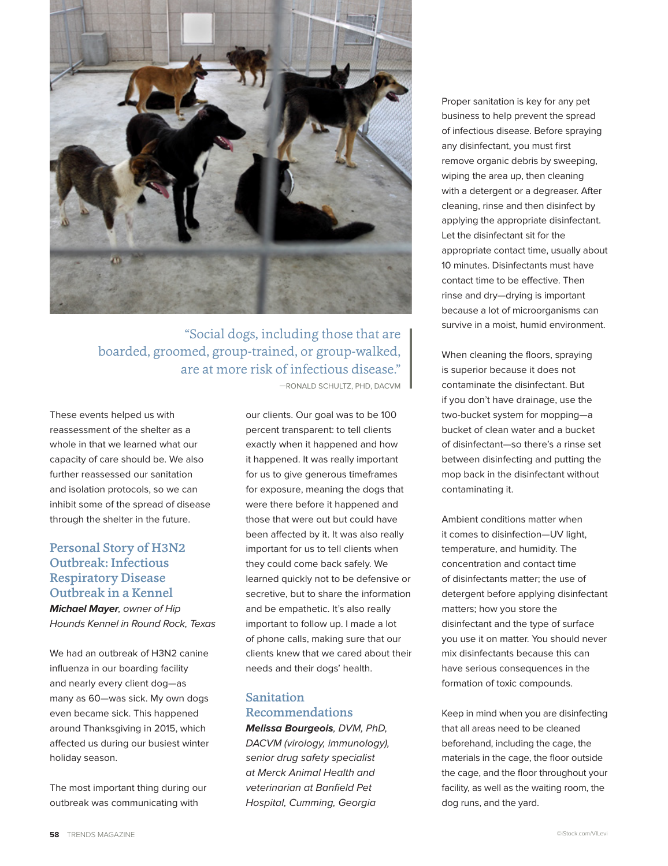

# "Social dogs, including those that are boarded, groomed, group-trained, or group-walked, are at more risk of infectious disease."

These events helped us with reassessment of the shelter as a whole in that we learned what our capacity of care should be. We also further reassessed our sanitation and isolation protocols, so we can inhibit some of the spread of disease through the shelter in the future.

## Personal Story of H3N2 Outbreak: Infectious Respiratory Disease Outbreak in a Kennel

**Michael Mayer**, owner of Hip Hounds Kennel in Round Rock, Texas

We had an outbreak of H3N2 canine influenza in our boarding facility and nearly every client dog—as many as 60—was sick. My own dogs even became sick. This happened around Thanksgiving in 2015, which affected us during our busiest winter holiday season.

The most important thing during our outbreak was communicating with

—RONALD SCHULTZ, PHD, DACVM

our clients. Our goal was to be 100 percent transparent: to tell clients exactly when it happened and how it happened. It was really important for us to give generous timeframes for exposure, meaning the dogs that were there before it happened and those that were out but could have been affected by it. It was also really important for us to tell clients when they could come back safely. We learned quickly not to be defensive or secretive, but to share the information and be empathetic. It's also really important to follow up. I made a lot of phone calls, making sure that our clients knew that we cared about their needs and their dogs' health.

# Sanitation Recommendations

**Melissa Bourgeois**, DVM, PhD, DACVM (virology, immunology), senior drug safety specialist at Merck Animal Health and veterinarian at Banfield Pet Hospital, Cumming, Georgia

Proper sanitation is key for any pet business to help prevent the spread of infectious disease. Before spraying any disinfectant, you must first remove organic debris by sweeping, wiping the area up, then cleaning with a detergent or a degreaser. After cleaning, rinse and then disinfect by applying the appropriate disinfectant. Let the disinfectant sit for the appropriate contact time, usually about 10 minutes. Disinfectants must have contact time to be effective. Then rinse and dry—drying is important because a lot of microorganisms can survive in a moist, humid environment.

When cleaning the floors, spraying is superior because it does not contaminate the disinfectant. But if you don't have drainage, use the two-bucket system for mopping—a bucket of clean water and a bucket of disinfectant—so there's a rinse set between disinfecting and putting the mop back in the disinfectant without contaminating it.

Ambient conditions matter when it comes to disinfection—UV light, temperature, and humidity. The concentration and contact time of disinfectants matter; the use of detergent before applying disinfectant matters; how you store the disinfectant and the type of surface you use it on matter. You should never mix disinfectants because this can have serious consequences in the formation of toxic compounds.

Keep in mind when you are disinfecting that all areas need to be cleaned beforehand, including the cage, the materials in the cage, the floor outside the cage, and the floor throughout your facility, as well as the waiting room, the dog runs, and the yard.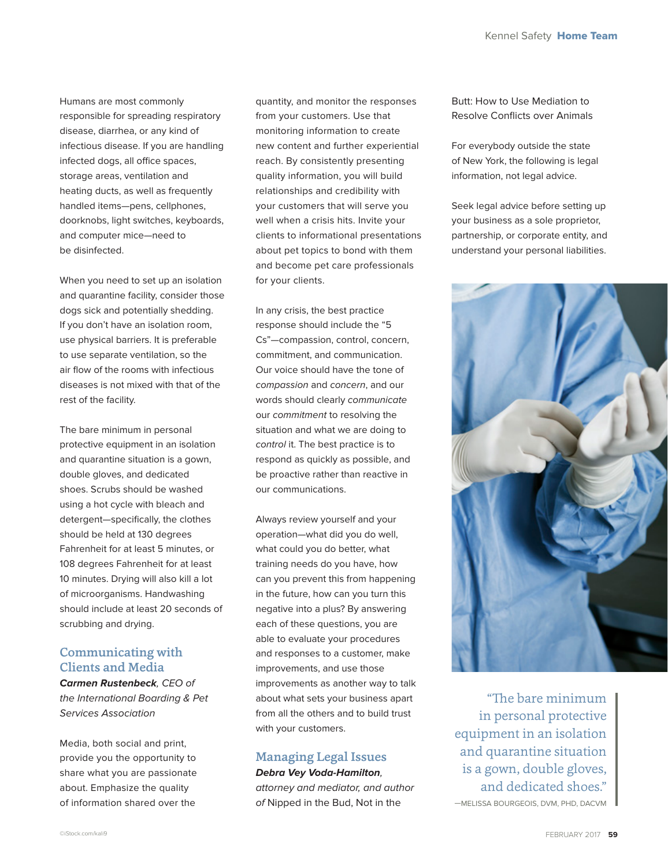Humans are most commonly responsible for spreading respiratory disease, diarrhea, or any kind of infectious disease. If you are handling infected dogs, all office spaces, storage areas, ventilation and heating ducts, as well as frequently handled items—pens, cellphones, doorknobs, light switches, keyboards, and computer mice—need to be disinfected.

When you need to set up an isolation and quarantine facility, consider those dogs sick and potentially shedding. If you don't have an isolation room, use physical barriers. It is preferable to use separate ventilation, so the air flow of the rooms with infectious diseases is not mixed with that of the rest of the facility.

The bare minimum in personal protective equipment in an isolation and quarantine situation is a gown, double gloves, and dedicated shoes. Scrubs should be washed using a hot cycle with bleach and detergent—specifically, the clothes should be held at 130 degrees Fahrenheit for at least 5 minutes, or 108 degrees Fahrenheit for at least 10 minutes. Drying will also kill a lot of microorganisms. Handwashing should include at least 20 seconds of scrubbing and drying.

## Communicating with Clients and Media

**Carmen Rustenbeck**, CEO of the International Boarding & Pet Services Association

Media, both social and print, provide you the opportunity to share what you are passionate about. Emphasize the quality of information shared over the

quantity, and monitor the responses from your customers. Use that monitoring information to create new content and further experiential reach. By consistently presenting quality information, you will build relationships and credibility with your customers that will serve you well when a crisis hits. Invite your clients to informational presentations about pet topics to bond with them and become pet care professionals for your clients.

In any crisis, the best practice response should include the "5 Cs"—compassion, control, concern, commitment, and communication. Our voice should have the tone of compassion and concern, and our words should clearly communicate our commitment to resolving the situation and what we are doing to control it. The best practice is to respond as quickly as possible, and be proactive rather than reactive in our communications.

Always review yourself and your operation—what did you do well, what could you do better, what training needs do you have, how can you prevent this from happening in the future, how can you turn this negative into a plus? By answering each of these questions, you are able to evaluate your procedures and responses to a customer, make improvements, and use those improvements as another way to talk about what sets your business apart from all the others and to build trust with your customers.

# Managing Legal Issues

**Debra Vey Voda-Hamilton**, attorney and mediator, and author of Nipped in the Bud, Not in the

Butt: How to Use Mediation to Resolve Conflicts over Animals

For everybody outside the state of New York, the following is legal information, not legal advice.

Seek legal advice before setting up your business as a sole proprietor, partnership, or corporate entity, and understand your personal liabilities.



"The bare minimum in personal protective equipment in an isolation and quarantine situation is a gown, double gloves, and dedicated shoes." —MELISSA BOURGEOIS, DVM, PHD, DACVM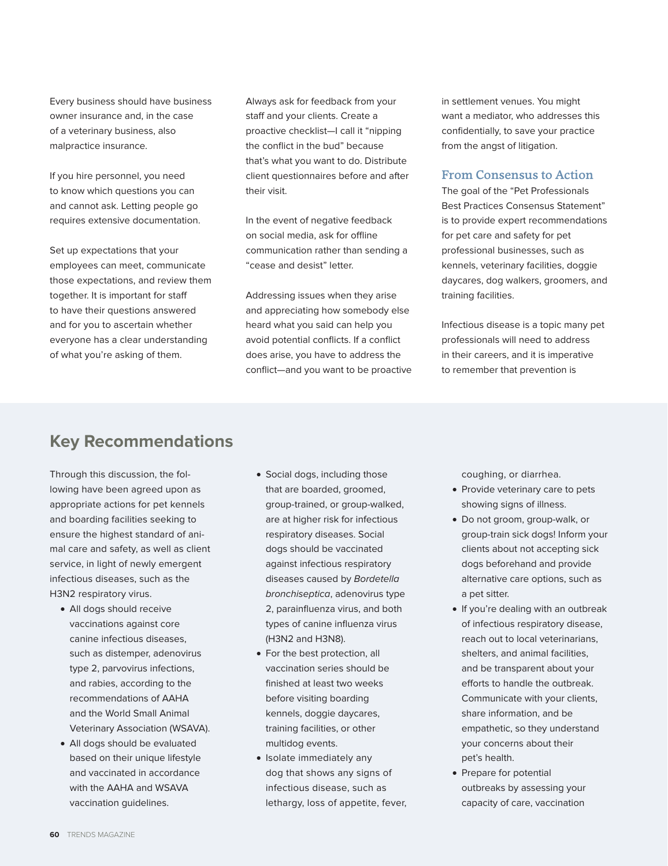Every business should have business owner insurance and, in the case of a veterinary business, also malpractice insurance.

If you hire personnel, you need to know which questions you can and cannot ask. Letting people go requires extensive documentation.

Set up expectations that your employees can meet, communicate those expectations, and review them together. It is important for staff to have their questions answered and for you to ascertain whether everyone has a clear understanding of what you're asking of them.

Always ask for feedback from your staff and your clients. Create a proactive checklist—I call it "nipping the conflict in the bud" because that's what you want to do. Distribute client questionnaires before and after their visit.

In the event of negative feedback on social media, ask for offline communication rather than sending a "cease and desist" letter.

Addressing issues when they arise and appreciating how somebody else heard what you said can help you avoid potential conflicts. If a conflict does arise, you have to address the conflict—and you want to be proactive in settlement venues. You might want a mediator, who addresses this confidentially, to save your practice from the angst of litigation.

## From Consensus to Action

The goal of the "Pet Professionals Best Practices Consensus Statement" is to provide expert recommendations for pet care and safety for pet professional businesses, such as kennels, veterinary facilities, doggie daycares, dog walkers, groomers, and training facilities.

Infectious disease is a topic many pet professionals will need to address in their careers, and it is imperative to remember that prevention is

# **Key Recommendations**

Through this discussion, the following have been agreed upon as appropriate actions for pet kennels and boarding facilities seeking to ensure the highest standard of animal care and safety, as well as client service, in light of newly emergent infectious diseases, such as the H3N2 respiratory virus.

- All dogs should receive vaccinations against core canine infectious diseases, such as distemper, adenovirus type 2, parvovirus infections, and rabies, according to the recommendations of AAHA and the World Small Animal Veterinary Association (WSAVA).
- All dogs should be evaluated based on their unique lifestyle and vaccinated in accordance with the AAHA and WSAVA vaccination guidelines.
- Social dogs, including those that are boarded, groomed, group-trained, or group-walked, are at higher risk for infectious respiratory diseases. Social dogs should be vaccinated against infectious respiratory diseases caused by Bordetella bronchiseptica, adenovirus type 2, parainfluenza virus, and both types of canine influenza virus (H3N2 and H3N8).
- For the best protection, all vaccination series should be finished at least two weeks before visiting boarding kennels, doggie daycares, training facilities, or other multidog events.
- Isolate immediately any dog that shows any signs of infectious disease, such as lethargy, loss of appetite, fever,

coughing, or diarrhea.

- Provide veterinary care to pets showing signs of illness.
- Do not groom, group-walk, or group-train sick dogs! Inform your clients about not accepting sick dogs beforehand and provide alternative care options, such as a pet sitter.
- If you're dealing with an outbreak of infectious respiratory disease, reach out to local veterinarians, shelters, and animal facilities, and be transparent about your efforts to handle the outbreak. Communicate with your clients, share information, and be empathetic, so they understand your concerns about their pet's health.
- Prepare for potential outbreaks by assessing your capacity of care, vaccination